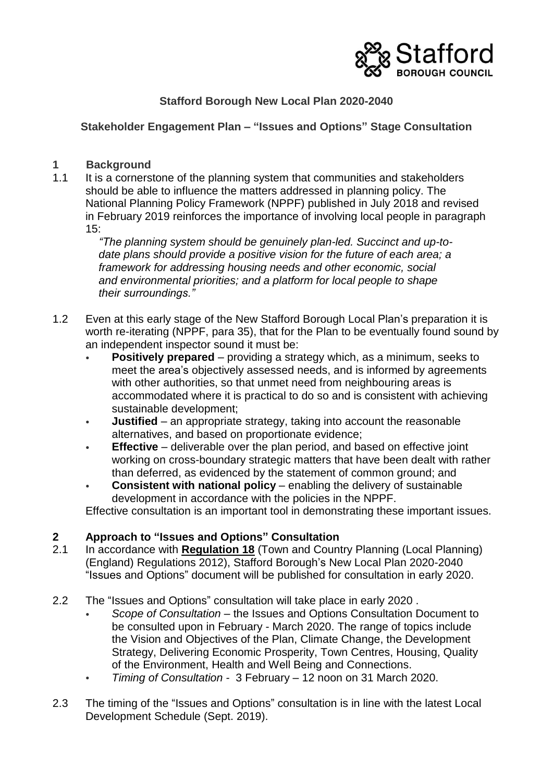

# **Stafford Borough New Local Plan 2020-2040**

**Stakeholder Engagement Plan – "Issues and Options" Stage Consultation** 

## **1 Background**

1.1 It is a cornerstone of the planning system that communities and stakeholders should be able to influence the matters addressed in planning policy. The National Planning Policy Framework (NPPF) published in July 2018 and revised in February 2019 reinforces the importance of involving local people in paragraph 15:

*"The planning system should be genuinely plan-led. Succinct and up-todate plans should provide a positive vision for the future of each area; a framework for addressing housing needs and other economic, social and environmental priorities; and a platform for local people to shape their surroundings."*

- 1.2 Even at this early stage of the New Stafford Borough Local Plan's preparation it is worth re-iterating (NPPF, para 35), that for the Plan to be eventually found sound by an independent inspector sound it must be:
	- **Positively prepared** providing a strategy which, as a minimum, seeks to meet the area's objectively assessed needs, and is informed by agreements with other authorities, so that unmet need from neighbouring areas is accommodated where it is practical to do so and is consistent with achieving sustainable development;
	- **Justified** an appropriate strategy, taking into account the reasonable alternatives, and based on proportionate evidence;
	- **Effective** deliverable over the plan period, and based on effective joint working on cross-boundary strategic matters that have been dealt with rather than deferred, as evidenced by the statement of common ground; and
	- **Consistent with national policy** enabling the delivery of sustainable development in accordance with the policies in the NPPF.

Effective consultation is an important tool in demonstrating these important issues.

## **2 Approach to "Issues and Options" Consultation**

- 2.1 In accordance with **Regulation 18** (Town and Country Planning (Local Planning) (England) Regulations 2012), Stafford Borough's New Local Plan 2020-2040 "Issues and Options" document will be published for consultation in early 2020.
- 2.2 The "Issues and Options" consultation will take place in early 2020 .
	- *Scope of Consultation –* the Issues and Options Consultation Document to be consulted upon in February - March 2020. The range of topics include the Vision and Objectives of the Plan, Climate Change, the Development Strategy, Delivering Economic Prosperity, Town Centres, Housing, Quality of the Environment, Health and Well Being and Connections.
	- *Timing of Consultation -* 3 February 12 noon on 31 March 2020.
- 2.3 The timing of the "Issues and Options" consultation is in line with the latest Local Development Schedule (Sept. 2019).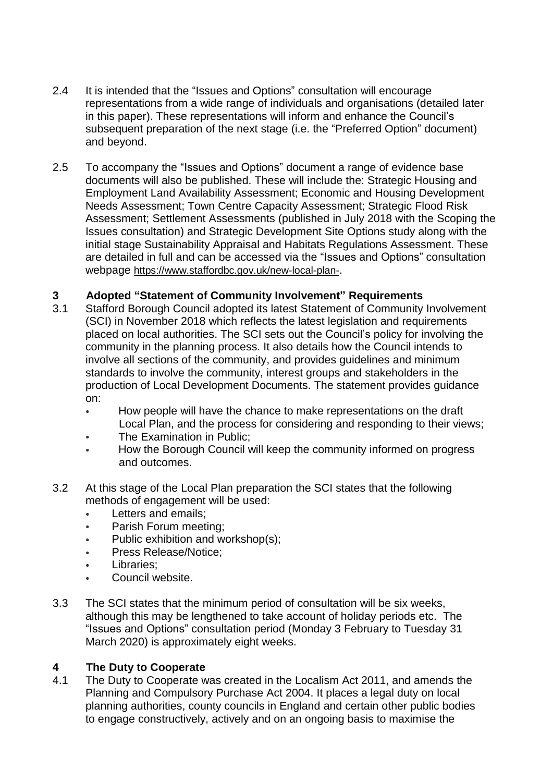- 2.4 It is intended that the "Issues and Options" consultation will encourage representations from a wide range of individuals and organisations (detailed later in this paper). These representations will inform and enhance the Council's subsequent preparation of the next stage (i.e. the "Preferred Option" document) and beyond.
- 2.5 To accompany the "Issues and Options" document a range of evidence base documents will also be published. These will include the: Strategic Housing and Employment Land Availability Assessment; Economic and Housing Development Needs Assessment; Town Centre Capacity Assessment; Strategic Flood Risk Assessment; Settlement Assessments (published in July 2018 with the Scoping the Issues consultation) and Strategic Development Site Options study along with the initial stage Sustainability Appraisal and Habitats Regulations Assessment. These are detailed in full and can be accessed via the "Issues and Options" consultation webpage <https://www.staffordbc.gov.uk/new-local-plan->.

## **3 Adopted "Statement of Community Involvement" Requirements**

- 3.1 Stafford Borough Council adopted its latest Statement of Community Involvement (SCI) in November 2018 which reflects the latest legislation and requirements placed on local authorities. The SCI sets out the Council's policy for involving the community in the planning process. It also details how the Council intends to involve all sections of the community, and provides guidelines and minimum standards to involve the community, interest groups and stakeholders in the production of Local Development Documents. The statement provides guidance on:
	- How people will have the chance to make representations on the draft Local Plan, and the process for considering and responding to their views;
	- The Examination in Public;
	- How the Borough Council will keep the community informed on progress and outcomes.
- 3.2 At this stage of the Local Plan preparation the SCI states that the following methods of engagement will be used:
	- Letters and emails:
	- Parish Forum meeting;
	- Public exhibition and workshop(s);
	- Press Release/Notice;
	- Libraries:
	- Council website.
- 3.3 The SCI states that the minimum period of consultation will be six weeks, although this may be lengthened to take account of holiday periods etc. The "Issues and Options" consultation period (Monday 3 February to Tuesday 31 March 2020) is approximately eight weeks.

# **4 The Duty to Cooperate**

The Duty to Cooperate was created in the Localism Act 2011, and amends the [Planning and Compulsory Purchase Act 2004.](http://www.legislation.gov.uk/ukpga/2011/20/section/110/enacted) It places a legal duty on local planning authorities, county councils in England and certain other public bodies to engage constructively, actively and on an ongoing basis to maximise the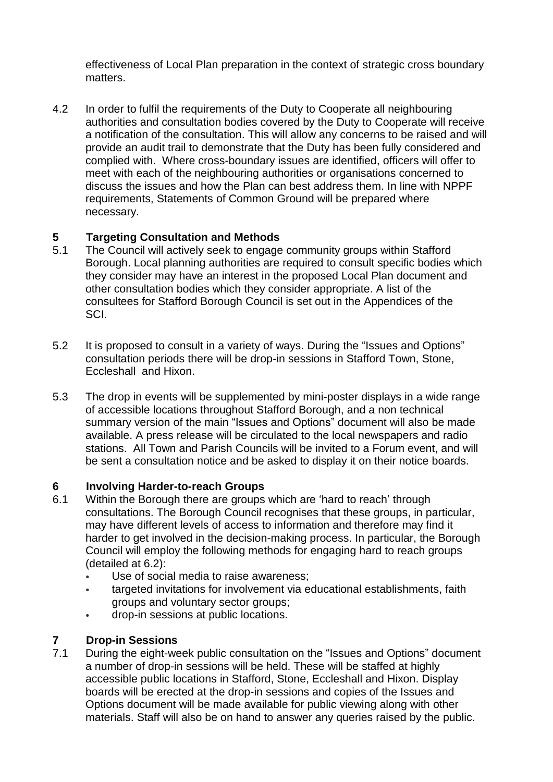effectiveness of Local Plan preparation in the context of strategic cross boundary matters.

4.2 In order to fulfil the requirements of the Duty to Cooperate all neighbouring authorities and consultation bodies covered by the Duty to Cooperate will receive a notification of the consultation. This will allow any concerns to be raised and will provide an audit trail to demonstrate that the Duty has been fully considered and complied with. Where cross-boundary issues are identified, officers will offer to meet with each of the neighbouring authorities or organisations concerned to discuss the issues and how the Plan can best address them. In line with NPPF requirements, Statements of Common Ground will be prepared where necessary.

# **5 Targeting Consultation and Methods**

- 5.1 The Council will actively seek to engage community groups within Stafford Borough. Local planning authorities are required to consult specific bodies which they consider may have an interest in the proposed Local Plan document and other consultation bodies which they consider appropriate. A list of the consultees for Stafford Borough Council is set out in the Appendices of the SCI.
- 5.2 It is proposed to consult in a variety of ways. During the "Issues and Options" consultation periods there will be drop-in sessions in Stafford Town, Stone, Eccleshall and Hixon.
- 5.3 The drop in events will be supplemented by mini-poster displays in a wide range of accessible locations throughout Stafford Borough, and a non technical summary version of the main "Issues and Options" document will also be made available. A press release will be circulated to the local newspapers and radio stations. All Town and Parish Councils will be invited to a Forum event, and will be sent a consultation notice and be asked to display it on their notice boards.

## **6 Involving Harder-to-reach Groups**

- 6.1 Within the Borough there are groups which are 'hard to reach' through consultations. The Borough Council recognises that these groups, in particular, may have different levels of access to information and therefore may find it harder to get involved in the decision-making process. In particular, the Borough Council will employ the following methods for engaging hard to reach groups (detailed at 6.2):
	- Use of social media to raise awareness;
	- targeted invitations for involvement via educational establishments, faith groups and voluntary sector groups;
	- drop-in sessions at public locations.

## **7 Drop-in Sessions**

7.1 During the eight-week public consultation on the "Issues and Options" document a number of drop-in sessions will be held. These will be staffed at highly accessible public locations in Stafford, Stone, Eccleshall and Hixon. Display boards will be erected at the drop-in sessions and copies of the Issues and Options document will be made available for public viewing along with other materials. Staff will also be on hand to answer any queries raised by the public.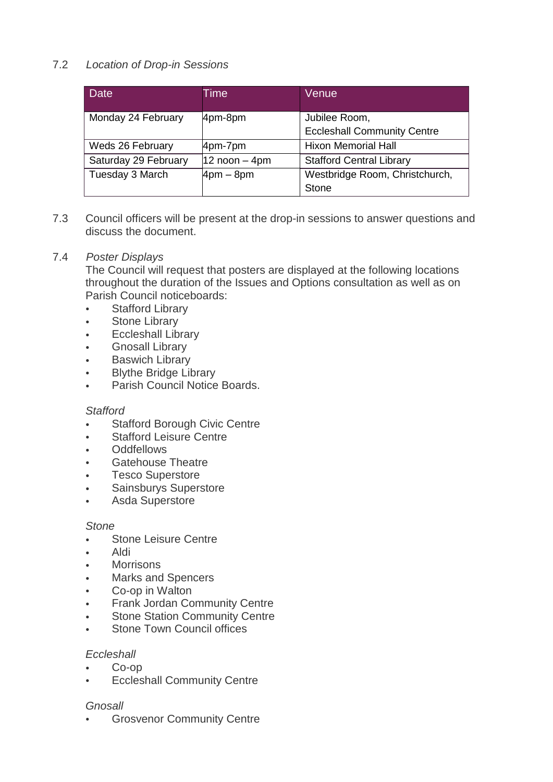# 7.2*Location of Drop-in Sessions*

| <b>Date</b>          | Time              | Venue                              |
|----------------------|-------------------|------------------------------------|
| Monday 24 February   | 4pm-8pm           | Jubilee Room,                      |
|                      |                   | <b>Eccleshall Community Centre</b> |
| Weds 26 February     | 4pm-7pm           | <b>Hixon Memorial Hall</b>         |
| Saturday 29 February | $12$ noon $-$ 4pm | <b>Stafford Central Library</b>    |
| Tuesday 3 March      | $4pm - 8pm$       | Westbridge Room, Christchurch,     |
|                      |                   | Stone                              |

7.3 Council officers will be present at the drop-in sessions to answer questions and discuss the document.

#### 7.4 *Poster Displays*

The Council will request that posters are displayed at the following locations throughout the duration of the Issues and Options consultation as well as on Parish Council noticeboards:

- **Stafford Library**
- Stone Library
- Eccleshall Library
- Gnosall Library
- **Baswich Library**
- Blythe Bridge Library
- Parish Council Notice Boards.

#### *Stafford*

- Stafford Borough Civic Centre
- **Stafford Leisure Centre**
- Oddfellows
- Gatehouse Theatre
- Tesco Superstore
- Sainsburys Superstore
- Asda Superstore

#### *Stone*

- Stone Leisure Centre
- Aldi
- **Morrisons**
- Marks and Spencers
- Co-op in Walton
- Frank Jordan Community Centre
- Stone Station Community Centre
- Stone Town Council offices

#### *Eccleshall*

- Co-op
- **Eccleshall Community Centre**

## *Gnosall*

**Grosvenor Community Centre**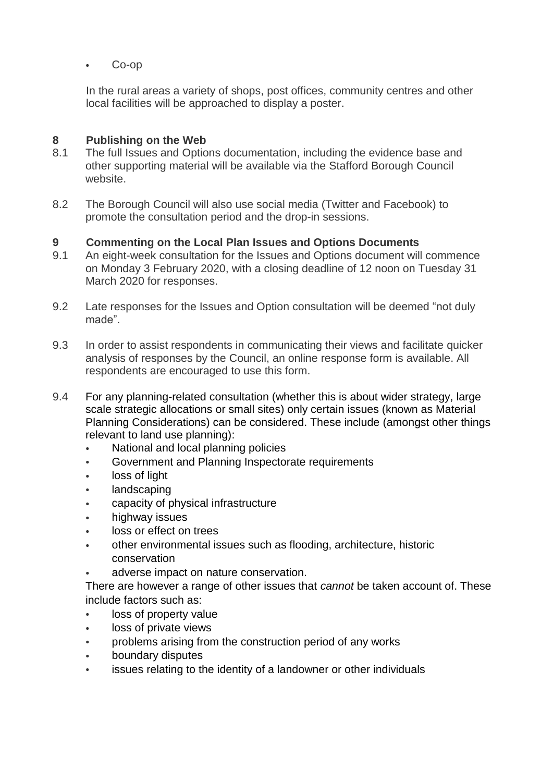• Co-op

In the rural areas a variety of shops, post offices, community centres and other local facilities will be approached to display a poster.

## **8 Publishing on the Web**

- 8.1 The full Issues and Options documentation, including the evidence base and other supporting material will be available via the Stafford Borough Council website.
- 8.2 The Borough Council will also use social media (Twitter and Facebook) to promote the consultation period and the drop-in sessions.

## **9 Commenting on the Local Plan Issues and Options Documents**

- 9.1 An eight-week consultation for the Issues and Options document will commence on Monday 3 February 2020, with a closing deadline of 12 noon on Tuesday 31 March 2020 for responses.
- 9.2 Late responses for the Issues and Option consultation will be deemed "not duly made".
- 9.3 In order to assist respondents in communicating their views and facilitate quicker analysis of responses by the Council, an online response form is available. All respondents are encouraged to use this form.
- 9.4 For any planning-related consultation (whether this is about wider strategy, large scale strategic allocations or small sites) only certain issues (known as Material Planning Considerations) can be considered. These include (amongst other things relevant to land use planning):
	- National and local planning policies
	- Government and Planning Inspectorate requirements
	- loss of light
	- landscaping
	- capacity of physical infrastructure
	- highway issues
	- loss or effect on trees
	- other environmental issues such as flooding, architecture, historic conservation
	- adverse impact on nature conservation.

There are however a range of other issues that *cannot* be taken account of. These include factors such as:

- loss of property value
- loss of private views
- problems arising from the construction period of any works
- boundary disputes
- issues relating to the identity of a landowner or other individuals